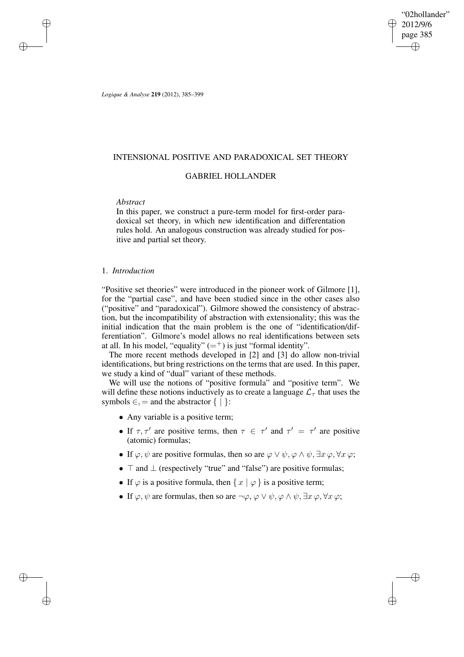"02hollander" 2012/9/6 page 385 ✐ ✐

✐

✐

*Logique & Analyse* **219** (2012), 385–399

# INTENSIONAL POSITIVE AND PARADOXICAL SET THEORY

# GABRIEL HOLLANDER

## *Abstract*

✐

✐

✐

✐

In this paper, we construct a pure-term model for first-order paradoxical set theory, in which new identification and differentation rules hold. An analogous construction was already studied for positive and partial set theory.

# 1. *Introduction*

"Positive set theories" were introduced in the pioneer work of Gilmore [1], for the "partial case", and have been studied since in the other cases also ("positive" and "paradoxical"). Gilmore showed the consistency of abstraction, but the incompatibility of abstraction with extensionality; this was the initial indication that the main problem is the one of "identification/differentiation". Gilmore's model allows no real identifications between sets at all. In his model, "equality"  $(=^+)$  is just "formal identity".

The more recent methods developed in [2] and [3] do allow non-trivial identifications, but bring restrictions on the terms that are used. In this paper, we study a kind of "dual" variant of these methods.

We will use the notions of "positive formula" and "positive term". We will define these notions inductively as to create a language  $\mathcal{L}_{\tau}$  that uses the symbols  $\in$ , = and the abstractor  $\{ | \}$ :

- Any variable is a positive term;
- If  $\tau$ ,  $\tau'$  are positive terms, then  $\tau \in \tau'$  and  $\tau' = \tau'$  are positive (atomic) formulas;
- If  $\varphi, \psi$  are positive formulas, then so are  $\varphi \lor \psi, \varphi \land \psi, \exists x \varphi, \forall x \varphi;$
- $\top$  and  $\bot$  (respectively "true" and "false") are positive formulas;
- If  $\varphi$  is a positive formula, then  $\{x \mid \varphi\}$  is a positive term;
- If  $\varphi, \psi$  are formulas, then so are  $\neg \varphi, \varphi \lor \psi, \varphi \land \psi, \exists x \varphi, \forall x \varphi;$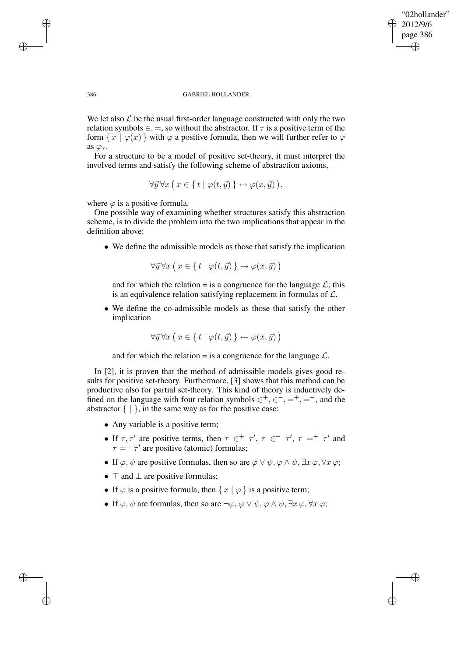✐

### 386 GABRIEL HOLLANDER

We let also  $\mathcal L$  be the usual first-order language constructed with only the two relation symbols  $\epsilon$ ,  $=$ , so without the abstractor. If  $\tau$  is a positive term of the form  $\{x \mid \varphi(x)\}$  with  $\varphi$  a positive formula, then we will further refer to  $\varphi$ as  $\varphi_{\tau}$ .

For a structure to be a model of positive set-theory, it must interpret the involved terms and satisfy the following scheme of abstraction axioms,

$$
\forall \vec{y} \forall x \ (x \in \{ t \mid \varphi(t, \vec{y}) \} \leftrightarrow \varphi(x, \vec{y})),
$$

where  $\varphi$  is a positive formula.

One possible way of examining whether structures satisfy this abstraction scheme, is to divide the problem into the two implications that appear in the definition above:

• We define the admissible models as those that satisfy the implication

$$
\forall \vec{y} \forall x \left( x \in \{ t \mid \varphi(t, \vec{y}) \} \to \varphi(x, \vec{y}) \right)
$$

and for which the relation = is a congruence for the language  $\mathcal{L}$ ; this is an equivalence relation satisfying replacement in formulas of  $\mathcal{L}$ .

• We define the co-admissible models as those that satisfy the other implication

$$
\forall \vec{y} \forall x \left( x \in \{ t \mid \varphi(t, \vec{y}) \} \leftarrow \varphi(x, \vec{y}) \right)
$$

and for which the relation = is a congruence for the language  $\mathcal{L}$ .

In [2], it is proven that the method of admissible models gives good results for positive set-theory. Furthermore, [3] shows that this method can be productive also for partial set-theory. This kind of theory is inductively defined on the language with four relation symbols  $\in^+, \in^-, =^+, =^-,$  and the abstractor  $\{ | \}$ , in the same way as for the positive case:

- Any variable is a positive term;
- If  $\tau, \tau'$  are positive terms, then  $\tau \in \tau'$ ,  $\tau \in \tau'$ ,  $\tau = \tau'$  and  $\tau = -\tau'$  are positive (atomic) formulas;
- If  $\varphi, \psi$  are positive formulas, then so are  $\varphi \lor \psi, \varphi \land \psi, \exists x \varphi, \forall x \varphi;$
- $\top$  and  $\bot$  are positive formulas;
- If  $\varphi$  is a positive formula, then  $\{x \mid \varphi\}$  is a positive term;
- If  $\varphi, \psi$  are formulas, then so are  $\neg \varphi, \varphi \lor \psi, \varphi \land \psi, \exists x \varphi, \forall x \varphi;$

✐

✐

✐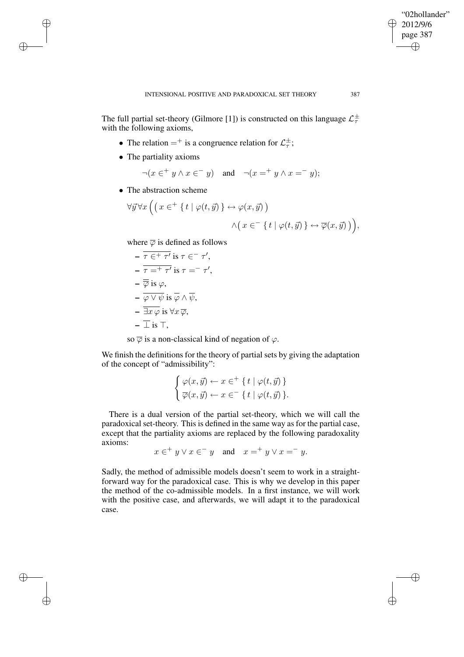✐

The full partial set-theory (Gilmore [1]) is constructed on this language  $\mathcal{L}_{\tau}^{\pm}$ τ with the following axioms,

- The relation  $=$  + is a congruence relation for  $\mathcal{L}_{\tau}^{\pm}$  $_{\tau}^{\pm}$ ;
- The partiality axioms

✐

✐

✐

✐

- $\neg(x \in^+ y \land x \in^- y)$  and  $\neg(x =^+ y \land x =^- y);$
- The abstraction scheme

$$
\forall \vec{y} \forall x \Big( \big( x \in^+ \{ t \mid \varphi(t, \vec{y}) \} \leftrightarrow \varphi(x, \vec{y}) \big) \newline \land \big( x \in^- \{ t \mid \varphi(t, \vec{y}) \} \leftrightarrow \overline{\varphi}(x, \vec{y}) \big) \Big),
$$

where  $\overline{\varphi}$  is defined as follows

$$
-\overline{\tau} \in^+ \tau' \text{ is } \tau \in^- \tau',
$$
  
\n
$$
-\overline{\tau} =^+ \tau' \text{ is } \tau =^- \tau',
$$
  
\n
$$
-\overline{\varphi} \text{ is } \varphi,
$$
  
\n
$$
-\overline{\varphi \vee \psi} \text{ is } \overline{\varphi} \wedge \overline{\psi},
$$
  
\n
$$
-\overline{\exists x \varphi \text{ is } \forall x \overline{\varphi},}
$$
  
\n
$$
-\overline{\bot} \text{ is } \top,
$$

so  $\overline{\varphi}$  is a non-classical kind of negation of  $\varphi$ .

We finish the definitions for the theory of partial sets by giving the adaptation of the concept of "admissibility":

$$
\begin{cases} \varphi(x,\vec{y}) \leftarrow x \in^{+} \{ t \mid \varphi(t,\vec{y}) \} \\ \overline{\varphi}(x,\vec{y}) \leftarrow x \in^{-} \{ t \mid \varphi(t,\vec{y}) \} . \end{cases}
$$

There is a dual version of the partial set-theory, which we will call the paradoxical set-theory. This is defined in the same way as for the partial case, except that the partiality axioms are replaced by the following paradoxality axioms:

 $x \in^+ y \lor x \in^- y$  and  $x =^+ y \lor x =^- y$ .

Sadly, the method of admissible models doesn't seem to work in a straightforward way for the paradoxical case. This is why we develop in this paper the method of the co-admissible models. In a first instance, we will work with the positive case, and afterwards, we will adapt it to the paradoxical case.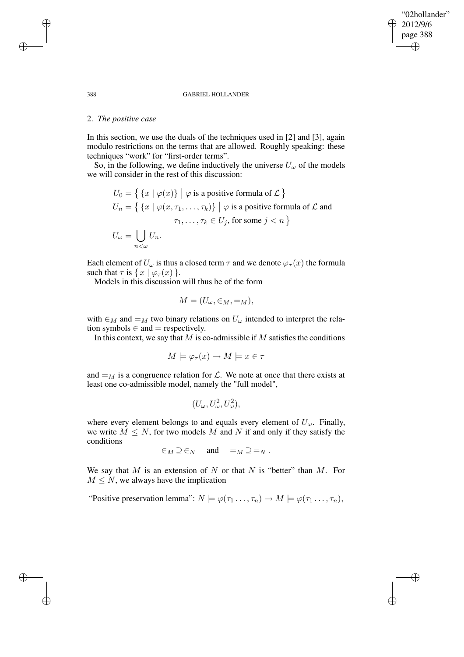### "02hollander" 2012/9/6 page 388 ✐ ✐

✐

✐

#### 388 GABRIEL HOLLANDER

## 2. *The positive case*

In this section, we use the duals of the techniques used in [2] and [3], again modulo restrictions on the terms that are allowed. Roughly speaking: these techniques "work" for "first-order terms".

So, in the following, we define inductively the universe  $U_{\omega}$  of the models we will consider in the rest of this discussion:

$$
U_0 = \{ \{x \mid \varphi(x)\} \mid \varphi \text{ is a positive formula of } \mathcal{L} \}
$$
  

$$
U_n = \{ \{x \mid \varphi(x, \tau_1, \dots, \tau_k)\} \mid \varphi \text{ is a positive formula of } \mathcal{L} \text{ and}
$$
  

$$
\tau_1, \dots, \tau_k \in U_j \text{, for some } j < n \}
$$
  

$$
U_\omega = \bigcup_{n < \omega} U_n.
$$

Each element of  $U_{\omega}$  is thus a closed term  $\tau$  and we denote  $\varphi_{\tau}(x)$  the formula such that  $\tau$  is  $\{ x \mid \varphi_{\tau}(x) \}$ .

Models in this discussion will thus be of the form

$$
M = (U_{\omega}, \in_M, =_M),
$$

with  $\in_M$  and  $=_M$  two binary relations on  $U_\omega$  intended to interpret the relation symbols  $\in$  and  $=$  respectively.

In this context, we say that  $M$  is co-admissible if  $M$  satisfies the conditions

$$
M \models \varphi_{\tau}(x) \to M \models x \in \tau
$$

and  $=_M$  is a congruence relation for  $\mathcal{L}$ . We note at once that there exists at least one co-admissible model, namely the "full model",

$$
(U_\omega,U_\omega^2,U_\omega^2),
$$

where every element belongs to and equals every element of  $U_{\omega}$ . Finally, we write  $M \leq N$ , for two models M and N if and only if they satisfy the conditions

$$
\in_M \supseteq \in_N
$$
 and  $=_M \supseteq =_N$ .

We say that M is an extension of N or that N is "better" than M. For  $M \leq N$ , we always have the implication

"Positive preservation lemma":  $N \models \varphi(\tau_1 \dots, \tau_n) \rightarrow M \models \varphi(\tau_1 \dots, \tau_n),$ 

✐

✐

✐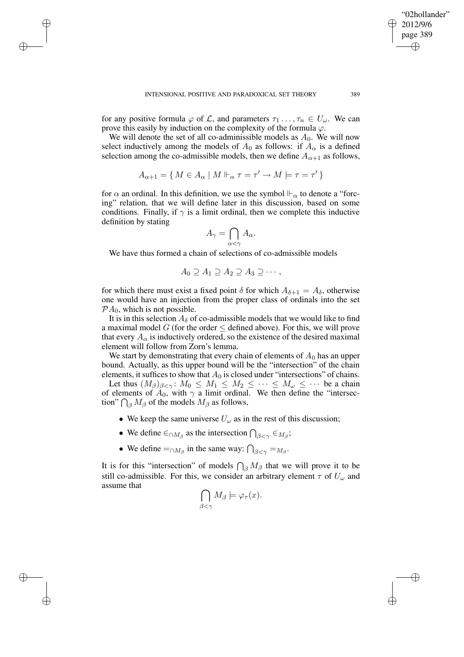✐

✐

✐

for any positive formula  $\varphi$  of  $\mathcal{L}$ , and parameters  $\tau_1 \ldots, \tau_n \in U_\omega$ . We can prove this easily by induction on the complexity of the formula  $\varphi$ .

We will denote the set of all co-adminissible models as  $A_0$ . We will now select inductively among the models of  $A_0$  as follows: if  $A_\alpha$  is a defined selection among the co-admissible models, then we define  $A_{\alpha+1}$  as follows,

$$
A_{\alpha+1} = \{ M \in A_{\alpha} \mid M \Vdash_{\alpha} \tau = \tau' \to M \models \tau = \tau' \}
$$

for  $\alpha$  an ordinal. In this definition, we use the symbol  $\mathbb{H}_{\alpha}$  to denote a "forcing" relation, that we will define later in this discussion, based on some conditions. Finally, if  $\gamma$  is a limit ordinal, then we complete this inductive definition by stating

$$
A_{\gamma} = \bigcap_{\alpha < \gamma} A_{\alpha}.
$$

We have thus formed a chain of selections of co-admissible models

$$
A_0 \supseteq A_1 \supseteq A_2 \supseteq A_3 \supseteq \cdots,
$$

for which there must exist a fixed point  $\delta$  for which  $A_{\delta+1} = A_{\delta}$ , otherwise one would have an injection from the proper class of ordinals into the set  $PA_0$ , which is not possible.

It is in this selection  $A_{\delta}$  of co-admissible models that we would like to find a maximal model G (for the order  $\leq$  defined above). For this, we will prove that every  $A_{\alpha}$  is inductively ordered, so the existence of the desired maximal element will follow from Zorn's lemma.

We start by demonstrating that every chain of elements of  $A_0$  has an upper bound. Actually, as this upper bound will be the "intersection" of the chain elements, it suffices to show that  $A_0$  is closed under "intersections" of chains.

Let thus  $(M_\beta)_{\beta<\gamma}$ :  $M_0 \leq M_1 \leq M_2 \leq \cdots \leq M_\omega \leq \cdots$  be a chain of elements of  $A_0$ , with  $\gamma$  a limit ordinal. We then define the "intersection"  $\bigcap_{\beta} M_{\beta}$  of the models  $M_{\beta}$  as follows,

- We keep the same universe  $U_{\omega}$  as in the rest of this discussion;
- We define  $\in \cap M_\beta$  as the intersection  $\bigcap_{\beta<\gamma}\in M_\beta$ ;
- We define  $=_{\cap M_\beta}$  in the same way:  $\bigcap_{\beta<\gamma}=M_\beta$ .

It is for this "intersection" of models  $\bigcap_{\beta} M_{\beta}$  that we will prove it to be still co-admissible. For this, we consider an arbitrary element  $\tau$  of  $U_{\omega}$  and assume that

$$
\bigcap_{\beta<\gamma}M_{\beta}\models\varphi_{\tau}(x).
$$

"02hollander" 2012/9/6 page 389

✐

✐

✐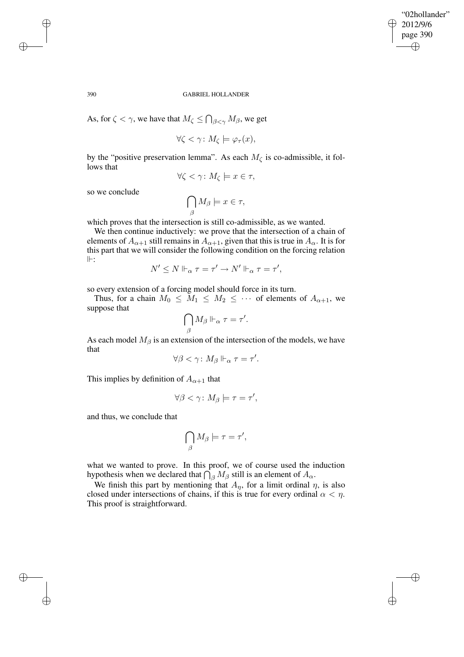✐

#### 390 GABRIEL HOLLANDER

As, for  $\zeta < \gamma$ , we have that  $M_{\zeta} \leq \bigcap_{\beta < \gamma} M_{\beta}$ , we get

$$
\forall \zeta < \gamma \colon M_{\zeta} \models \varphi_{\tau}(x),
$$

by the "positive preservation lemma". As each  $M_{\zeta}$  is co-admissible, it follows that

$$
\forall \zeta < \gamma \colon M_{\zeta} \models x \in \tau,
$$

so we conclude

$$
\bigcap_{\beta} M_{\beta} \models x \in \tau,
$$

which proves that the intersection is still co-admissible, as we wanted.

We then continue inductively: we prove that the intersection of a chain of elements of  $A_{\alpha+1}$  still remains in  $A_{\alpha+1}$ , given that this is true in  $A_{\alpha}$ . It is for this part that we will consider the following condition on the forcing relation  $\Vdash$ :

$$
N' \leq N \Vdash_{\alpha} \tau = \tau' \to N' \Vdash_{\alpha} \tau = \tau',
$$

so every extension of a forcing model should force in its turn.

Thus, for a chain  $M_0 \leq M_1 \leq M_2 \leq \cdots$  of elements of  $A_{\alpha+1}$ , we suppose that

$$
\bigcap_{\beta} M_{\beta} \Vdash_{\alpha} \tau = \tau'.
$$

As each model  $M_\beta$  is an extension of the intersection of the models, we have that

$$
\forall \beta < \gamma \colon M_{\beta} \Vdash_{\alpha} \tau = \tau'.
$$

This implies by definition of  $A_{\alpha+1}$  that

$$
\forall \beta < \gamma \colon M_{\beta} \models \tau = \tau',
$$

and thus, we conclude that

$$
\bigcap_{\beta} M_{\beta} \models \tau = \tau',
$$

what we wanted to prove. In this proof, we of course used the induction hypothesis when we declared that  $\bigcap_{\beta} M_{\beta}$  still is an element of  $A_{\alpha}$ .

We finish this part by mentioning that  $A_n$ , for a limit ordinal  $\eta$ , is also closed under intersections of chains, if this is true for every ordinal  $\alpha < \eta$ . This proof is straightforward.

✐

✐

✐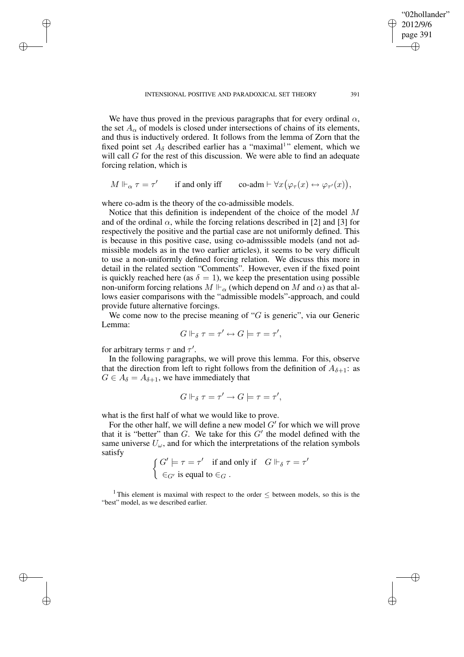✐

We have thus proved in the previous paragraphs that for every ordinal  $\alpha$ , the set  $A_{\alpha}$  of models is closed under intersections of chains of its elements, and thus is inductively ordered. It follows from the lemma of Zorn that the fixed point set  $A_{\delta}$  described earlier has a "maximal" element, which we will call  $G$  for the rest of this discussion. We were able to find an adequate forcing relation, which is

$$
M \Vdash_{\alpha} \tau = \tau' \qquad \text{if and only iff} \qquad \text{co-adm} \vdash \forall x (\varphi_{\tau}(x) \leftrightarrow \varphi_{\tau'}(x)),
$$

where co-adm is the theory of the co-admissible models.

Notice that this definition is independent of the choice of the model M and of the ordinal  $\alpha$ , while the forcing relations described in [2] and [3] for respectively the positive and the partial case are not uniformly defined. This is because in this positive case, using co-admisssible models (and not admissible models as in the two earlier articles), it seems to be very difficult to use a non-uniformly defined forcing relation. We discuss this more in detail in the related section "Comments". However, even if the fixed point is quickly reached here (as  $\delta = 1$ ), we keep the presentation using possible non-uniform forcing relations  $M \Vdash_{\alpha}$  (which depend on M and  $\alpha$ ) as that allows easier comparisons with the "admissible models"-approach, and could provide future alternative forcings.

We come now to the precise meaning of " $G$  is generic", via our Generic Lemma:

$$
G \Vdash_{\delta} \tau = \tau' \leftrightarrow G \models \tau = \tau',
$$

for arbitrary terms  $\tau$  and  $\tau'$ .

✐

✐

✐

✐

In the following paragraphs, we will prove this lemma. For this, observe that the direction from left to right follows from the definition of  $A_{\delta+1}$ : as  $G \in A_{\delta} = A_{\delta+1}$ , we have immediately that

$$
G \Vdash_{\delta} \tau = \tau' \to G \models \tau = \tau',
$$

what is the first half of what we would like to prove.

For the other half, we will define a new model  $G'$  for which we will prove that it is "better" than  $G$ . We take for this  $G'$  the model defined with the same universe  $U_{\omega}$ , and for which the interpretations of the relation symbols satisfy

 $\int G' \models \tau = \tau'$  if and only if  $G \Vdash_{\delta} \tau = \tau'$  $\in_{G'}$  is equal to  $\in_G$ .

<sup>1</sup> This element is maximal with respect to the order  $\leq$  between models, so this is the "best" model, as we described earlier.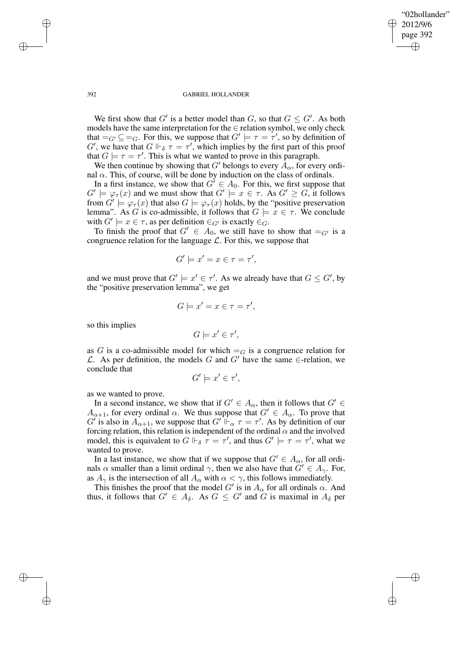✐

### 392 GABRIEL HOLLANDER

We first show that G' is a better model than G, so that  $G \leq G'$ . As both models have the same interpretation for the  $\in$  relation symbol, we only check that  $=_G' \subseteq =_G$ . For this, we suppose that  $G' \models \tau = \tau'$ , so by definition of  $G'$ , we have that  $G \Vdash_{\delta} \tau = \tau'$ , which implies by the first part of this proof that  $G \models \tau = \tau'$ . This is what we wanted to prove in this paragraph.

We then continue by showing that G' belongs to every  $A_{\alpha}$ , for every ordinal  $α$ . This, of course, will be done by induction on the class of ordinals.

In a first instance, we show that  $G' \in A_0$ . For this, we first suppose that  $G' \models \varphi_{\tau}(x)$  and we must show that  $G' \models x \in \tau$ . As  $G' \geq G$ , it follows from  $G' \models \varphi_\tau(x)$  that also  $G \models \varphi_\tau(x)$  holds, by the "positive preservation" lemma". As G is co-admissible, it follows that  $G \models x \in \tau$ . We conclude with  $G' \models x \in \tau$ , as per definition  $\in_{G'}$  is exactly  $\in_G'$ .

To finish the proof that  $G' \in A_0$ , we still have to show that  $=_G'$  is a congruence relation for the language  $\mathcal{L}$ . For this, we suppose that

$$
G' \models x' = x \in \tau = \tau',
$$

and we must prove that  $G' \models x' \in \tau'$ . As we already have that  $G \leq G'$ , by the "positive preservation lemma", we get

$$
G \models x' = x \in \tau = \tau',
$$

so this implies

$$
G \models x' \in \tau',
$$

as G is a co-admissible model for which  $=_G$  is a congruence relation for L. As per definition, the models G and G' have the same ∈-relation, we conclude that

$$
G' \models x' \in \tau',
$$

as we wanted to prove.

In a second instance, we show that if  $G' \in A_\alpha$ , then it follows that  $G' \in$  $A_{\alpha+1}$ , for every ordinal  $\alpha$ . We thus suppose that  $G' \in A_{\alpha}$ . To prove that  $G'$  is also in  $A_{\alpha+1}$ , we suppose that  $G' \Vdash_{\alpha} \tau = \tau'$ . As by definition of our forcing relation, this relation is independent of the ordinal  $\alpha$  and the involved model, this is equivalent to  $G \Vdash_{\delta} \tau = \tau'$ , and thus  $G' \models \tau = \tau'$ , what we wanted to prove.

In a last instance, we show that if we suppose that  $G' \in A_{\alpha}$ , for all ordinals  $\alpha$  smaller than a limit ordinal  $\gamma$ , then we also have that  $G' \in A_{\gamma}$ . For, as  $A_{\gamma}$  is the intersection of all  $A_{\alpha}$  with  $\alpha < \gamma$ , this follows immediately.

This finishes the proof that the model G' is in  $A_{\alpha}$  for all ordinals  $\alpha$ . And thus, it follows that  $G' \in A_{\delta}$ . As  $G \leq G'$  and  $\overset{\sim}{G}$  is maximal in  $A_{\delta}$  per

✐

✐

✐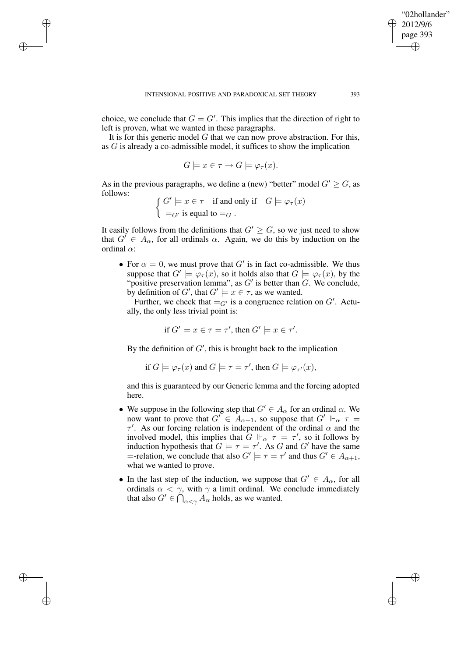✐

✐

✐

choice, we conclude that  $G = G'$ . This implies that the direction of right to left is proven, what we wanted in these paragraphs.

It is for this generic model  $G$  that we can now prove abstraction. For this, as G is already a co-admissible model, it suffices to show the implication

$$
G \models x \in \tau \to G \models \varphi_{\tau}(x).
$$

As in the previous paragraphs, we define a (new) "better" model  $G' \geq G$ , as follows:

$$
\left\{ \begin{aligned} G' & \models x \in \tau & \text{if and only if} & G & \models \varphi_{\tau}(x) \\ =_{G'} \text{is equal to } =_G \end{aligned} \right.
$$

It easily follows from the definitions that  $G' \geq G$ , so we just need to show that  $G' \in A_{\alpha}$ , for all ordinals  $\alpha$ . Again, we do this by induction on the ordinal  $\alpha$ :

• For  $\alpha = 0$ , we must prove that G' is in fact co-admissible. We thus suppose that  $G' \models \varphi_{\tau}(x)$ , so it holds also that  $G \models \varphi_{\tau}(x)$ , by the "positive preservation lemma", as  $G'$  is better than  $G$ . We conclude, by definition of G', that  $G' \models x \in \tau$ , as we wanted.

Further, we check that  $=_{G'}$  is a congruence relation on  $G'$ . Actually, the only less trivial point is:

if 
$$
G' \models x \in \tau = \tau'
$$
, then  $G' \models x \in \tau'$ .

By the definition of  $G'$ , this is brought back to the implication

if 
$$
G \models \varphi_{\tau}(x)
$$
 and  $G \models \tau = \tau'$ , then  $G \models \varphi_{\tau'}(x)$ ,

and this is guaranteed by our Generic lemma and the forcing adopted here.

- We suppose in the following step that  $G' \in A_\alpha$  for an ordinal  $\alpha$ . We now want to prove that  $G' \in A_{\alpha+1}$ , so suppose that  $G' \Vdash_{\alpha} \tau =$  $\tau'$ . As our forcing relation is independent of the ordinal  $\alpha$  and the involved model, this implies that  $G \Vdash_{\alpha} \tau = \tau'$ , so it follows by induction hypothesis that  $G \models \tau = \tau'$ . As G and G' have the same =-relation, we conclude that also  $G' \models \tau = \tau'$  and thus  $G' \in A_{\alpha+1}$ , what we wanted to prove.
- In the last step of the induction, we suppose that  $G' \in A_{\alpha}$ , for all ordinals  $\alpha < \gamma$ , with  $\gamma$  a limit ordinal. We conclude immediately that also  $G' \in \bigcap_{\alpha < \gamma} A_{\alpha}$  holds, as we wanted.

"02hollander" 2012/9/6 page 393

✐

✐

✐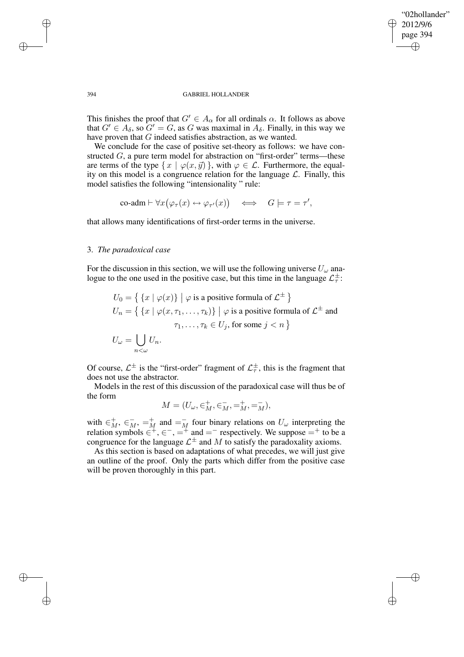✐

### 394 GABRIEL HOLLANDER

This finishes the proof that  $G' \in A_\alpha$  for all ordinals  $\alpha$ . It follows as above that  $G' \in A_{\delta}$ , so  $G' = G$ , as G was maximal in  $A_{\delta}$ . Finally, in this way we have proven that G indeed satisfies abstraction, as we wanted.

We conclude for the case of positive set-theory as follows: we have constructed  $G$ , a pure term model for abstraction on "first-order" terms—these are terms of the type  $\{x \mid \varphi(x, \vec{y})\}$ , with  $\varphi \in \mathcal{L}$ . Furthermore, the equality on this model is a congruence relation for the language  $\mathcal{L}$ . Finally, this model satisfies the following "intensionality " rule:

$$
\text{co-adm} \vdash \forall x (\varphi_\tau(x) \leftrightarrow \varphi_{\tau'}(x)) \quad \Longleftrightarrow \quad G \models \tau = \tau',
$$

that allows many identifications of first-order terms in the universe.

## 3. *The paradoxical case*

For the discussion in this section, we will use the following universe  $U_{\omega}$  analogue to the one used in the positive case, but this time in the language  $\mathcal{L}_{\tau}^{\pm}$  $\frac{\pm}{\tau}$ :

$$
U_0 = \{ \{x \mid \varphi(x)\} \mid \varphi \text{ is a positive formula of } \mathcal{L}^{\pm} \}
$$
  
\n
$$
U_n = \{ \{x \mid \varphi(x, \tau_1, \dots, \tau_k)\} \mid \varphi \text{ is a positive formula of } \mathcal{L}^{\pm} \text{ and}
$$
  
\n
$$
\tau_1, \dots, \tau_k \in U_j \text{, for some } j < n \}
$$
  
\n
$$
U_{\omega} = \bigcup_{n < \omega} U_n.
$$

Of course,  $\mathcal{L}^{\pm}$  is the "first-order" fragment of  $\mathcal{L}_{\tau}^{\pm}$  $^{\pm}_{\tau}$ , this is the fragment that does not use the abstractor.

Models in the rest of this discussion of the paradoxical case will thus be of the form

$$
M = (U_{\omega}, \in M^+, \in M^-, =_M^+, =_M^-),
$$

with  $\in M^+$ ,  $\in M^-$ ,  $\neq M$  and  $\neq M$  four binary relations on  $U_\omega$  interpreting the relation symbols  $\in^+, \in^-, =^+$  and  $=^-$  respectively. We suppose  $=^+$  to be a congruence for the language  $\mathcal{L}^{\pm}$  and M to satisfy the paradoxality axioms.

As this section is based on adaptations of what precedes, we will just give an outline of the proof. Only the parts which differ from the positive case will be proven thoroughly in this part.

✐

✐

✐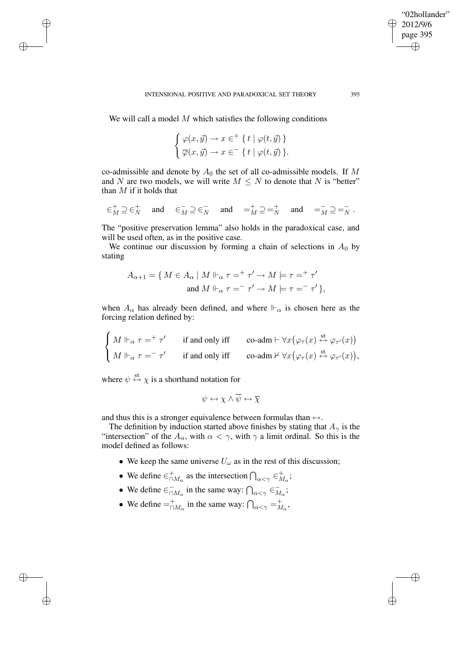We will call a model  $M$  which satisfies the following conditions

✐

✐

✐

✐

$$
\begin{cases} \varphi(x,\vec{y}) \to x \in^+ \{ t \mid \varphi(t,\vec{y}) \} \\ \overline{\varphi}(x,\vec{y}) \to x \in^- \{ t \mid \varphi(t,\vec{y}) \} . \end{cases}
$$

co-admissible and denote by  $A_0$  the set of all co-admissible models. If M and N are two models, we will write  $M \leq N$  to denote that N is "better" than  $M$  if it holds that

$$
\in_M^+ \supseteq \in_N^+ \quad \text{ and } \quad \in_M^- \supseteq \in_N^- \quad \text{ and } \quad =_M^+ \supseteq =_N^+ \quad \text{ and } \quad =_M^- \supseteq =_N^-.
$$

The "positive preservation lemma" also holds in the paradoxical case, and will be used often, as in the positive case.

We continue our discussion by forming a chain of selections in  $A_0$  by stating

$$
A_{\alpha+1} = \{ M \in A_{\alpha} \mid M \Vdash_{\alpha} \tau =^+ \tau' \to M \models \tau =^+ \tau'
$$
  
and 
$$
M \Vdash_{\alpha} \tau =^- \tau' \to M \models \tau =^- \tau' \},
$$

when  $A_{\alpha}$  has already been defined, and where  $\mathbb{H}_{\alpha}$  is chosen here as the forcing relation defined by:

$$
\begin{cases} M \Vdash_{\alpha} \tau =^+ \tau' & \text{if and only iff} \\ M \Vdash_{\alpha} \tau =^- \tau' & \text{if and only iff} \\ \end{cases} \quad \text{co-adm} \vdash \forall x (\varphi_{\tau}(x) \stackrel{\text{st}}{\leftrightarrow} \varphi_{\tau'}(x)) \\ \text{co-adm} \nvDash \forall x (\varphi_{\tau}(x) \stackrel{\text{st}}{\leftrightarrow} \varphi_{\tau'}(x)),
$$

where  $\psi \stackrel{\text{st}}{\leftrightarrow} \chi$  is a shorthand notation for

$$
\psi \leftrightarrow \chi \wedge \overline{\psi} \leftrightarrow \overline{\chi}
$$

and thus this is a stronger equivalence between formulas than  $\leftrightarrow$ .

The definition by induction started above finishes by stating that  $A_{\gamma}$  is the "intersection" of the  $A_{\alpha}$ , with  $\alpha < \gamma$ , with  $\gamma$  a limit ordinal. So this is the model defined as follows:

- We keep the same universe  $U_{\omega}$  as in the rest of this discussion;
- We define  $\in_{\cap M_{\alpha}}^{+}$  as the intersection  $\bigcap_{\alpha<\gamma}\in_{M_{\alpha}}^{+}$  $_{M_{\alpha}}^{+};$
- We define  $\in_{\cap}^ \overline{\cap}_{M_\alpha}$  in the same way:  $\bigcap_{\alpha < \gamma} \in \overline{M}$  $\frac{1}{M_{\alpha}}$ ;
- We define  $=_{\cap M_{\alpha}}^{+}$  in the same way:  $\bigcap_{\alpha<\gamma}^{}=_{M_{\alpha}}^{+}$  $_{M_{\alpha}}^{+},$

"02hollander" 2012/9/6 page 395

✐

✐

✐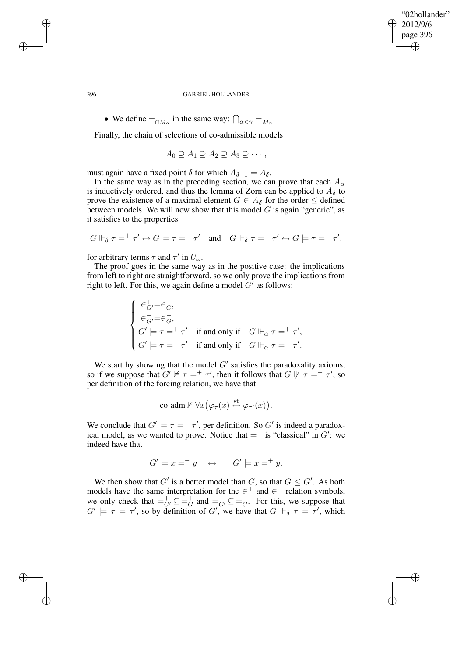### "02hollander" 2012/9/6 page 396 ✐ ✐

✐

✐

#### 396 GABRIEL HOLLANDER

• We define  $=$  $\overline{\cap}_{M_{\alpha}}$  in the same way:  $\bigcap_{\alpha<\gamma}=\overline{\overline{M}}$  $\overline{M}_{\alpha}$ .

Finally, the chain of selections of co-admissible models

$$
A_0 \supseteq A_1 \supseteq A_2 \supseteq A_3 \supseteq \cdots,
$$

must again have a fixed point  $\delta$  for which  $A_{\delta+1} = A_{\delta}$ .

In the same way as in the preceding section, we can prove that each  $A_{\alpha}$ is inductively ordered, and thus the lemma of Zorn can be applied to  $A_{\delta}$  to prove the existence of a maximal element  $G \in A_{\delta}$  for the order  $\leq$  defined between models. We will now show that this model  $G$  is again "generic", as it satisfies to the properties

$$
G\Vdash_\delta \tau=^+\tau'\leftrightarrow G\models \tau=^+\tau' \quad\text{and}\quad G\Vdash_\delta \tau=^-\tau'\leftrightarrow G\models \tau=^-\tau',
$$

for arbitrary terms  $\tau$  and  $\tau'$  in  $U_{\omega}$ .

The proof goes in the same way as in the positive case: the implications from left to right are straightforward, so we only prove the implications from right to left. For this, we again define a model  $G'$  as follows:

$$
\left\{\begin{array}{l} \in_{G'}^+ = \in_G^+, \\ \in_{G'}^- = \in_G^-, \\ G' \models \tau =^+ \tau' \quad \text{if and only if} \quad G \Vdash_\alpha \tau =^+ \tau', \\ G' \models \tau =^- \tau' \quad \text{if and only if} \quad G \Vdash_\alpha \tau =^- \tau'. \end{array}\right.
$$

We start by showing that the model  $G'$  satisfies the paradoxality axioms, so if we suppose that  $G' \nvDash \tau =^+ \tau'$ , then it follows that  $G \nvDash \tau =^+ \tau'$ , so per definition of the forcing relation, we have that

$$
\text{co-adm} \nvdash \forall x (\varphi_\tau(x) \stackrel{\text{st}}{\leftrightarrow} \varphi_{\tau'}(x)).
$$

We conclude that  $G' \models \tau = \tau'$ , per definition. So  $G'$  is indeed a paradoxical model, as we wanted to prove. Notice that  $=$  is "classical" in  $G'$ : we indeed have that

$$
G' \models x =^- y \quad \leftrightarrow \quad \neg G' \models x =^+ y.
$$

We then show that G' is a better model than G, so that  $G \leq G'$ . As both models have the same interpretation for the  $\in^+$  and  $\in^-$  relation symbols, we only check that  $=\frac{1}{G'} \subseteq \frac{1}{G}$  $\frac{1}{G}$  and  $\frac{1}{G'} \subseteq \frac{1}{G}$  $\overline{G}$ . For this, we suppose that  $G' \models \tau = \tau'$ , so by definition of G', we have that  $G \Vdash_{\delta} \tau = \tau'$ , which

✐

✐

✐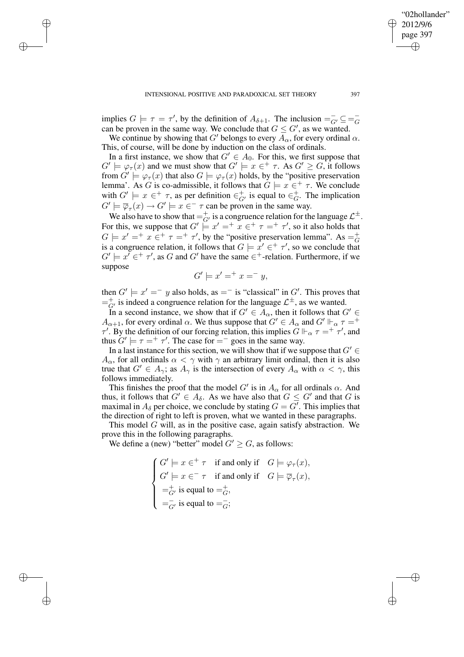✐

✐

✐

implies  $G \models \tau = \tau'$ , by the definition of  $A_{\delta+1}$ . The inclusion  $=\overline{G'} \subseteq = \overline{G}$ G can be proven in the same way. We conclude that  $G \leq G'$ , as we wanted.

We continue by showing that G' belongs to every  $A_{\alpha}$ , for every ordinal  $\alpha$ . This, of course, will be done by induction on the class of ordinals.

In a first instance, we show that  $G' \in A_0$ . For this, we first suppose that  $G' \models \varphi_\tau(x)$  and we must show that  $G' \models x \in \tau$ . As  $G' \geq G$ , it follows from  $G' \models \varphi_\tau(x)$  that also  $G \models \varphi_\tau(x)$  holds, by the "positive preservation" lemma'. As G is co-admissible, it follows that  $G \models x \in^+ \tau$ . We conclude with  $G' \models x \in^+ \tau$ , as per definition  $\in_{G'}^+$  is equal to  $\in_G^+$  $_G^+$ . The implication  $G' \models \overline{\varphi}_{\tau}(x) \rightarrow G' \models x \in \tau$  can be proven in the same way.

We also have to show that  $=$   $\frac{1}{G'}$  is a congruence relation for the language  $\mathcal{L}^{\pm}$ . For this, we suppose that  $G' \models x' = \bar{x} \in^+ \tau =^+ \tau'$ , so it also holds that  $G \models x' =^+ x \stackrel{\leftharpoonup}{\in} \tau =^+ \tau'$ , by the "positive preservation lemma". As  $=^+_{G}$ G is a congruence relation, it follows that  $G \models x' \in^+ \tau'$ , so we conclude that  $G' \models x' \in \dagger \tau'$ , as G and G' have the same  $\in \dagger$ -relation. Furthermore, if we suppose

$$
G' \models x' =^+ x =^- y,
$$

then  $G' \models x' = -y$  also holds, as  $= -$  is "classical" in  $G'$ . This proves that  $=\frac{1}{G'}$  is indeed a congruence relation for the language  $\mathcal{L}^{\pm}$ , as we wanted.

In a second instance, we show that if  $G' \in A_\alpha$ , then it follows that  $G' \in$  $A_{\alpha+1}$ , for every ordinal  $\alpha$ . We thus suppose that  $G' \in A_{\alpha}$  and  $G' \Vdash_{\alpha} \tau =^+$  $\tau'$ . By the definition of our forcing relation, this implies  $\ddot{G} \Vdash_{\alpha} \tau = \dot{\tau'}\tau'$ , and thus  $G' \models \tau =^+ \tau'$ . The case for  $=^-$  goes in the same way.

In a last instance for this section, we will show that if we suppose that  $G' \in$  $A_{\alpha}$ , for all ordinals  $\alpha < \gamma$  with  $\gamma$  an arbitrary limit ordinal, then it is also true that  $G' \in A_{\gamma}$ ; as  $A_{\gamma}$  is the intersection of every  $A_{\alpha}$  with  $\alpha < \gamma$ , this follows immediately.

This finishes the proof that the model G' is in  $A_{\alpha}$  for all ordinals  $\alpha$ . And thus, it follows that  $G' \in A_\delta$ . As we have also that  $G \leq G'$  and that G is maximal in  $A_\delta$  per choice, we conclude by stating  $G = G'$ . This implies that the direction of right to left is proven, what we wanted in these paragraphs.

This model G will, as in the positive case, again satisfy abstraction. We prove this in the following paragraphs.

We define a (new) "better" model  $G' \geq G$ , as follows:

$$
\begin{cases}\nG' \models x \in^+ \tau & \text{if and only if} \quad G \models \varphi_\tau(x), \\
G' \models x \in^- \tau & \text{if and only if} \quad G \models \overline{\varphi}_\tau(x), \\
\Rightarrow^+_{G'} \text{is equal to } \Rightarrow^+_{G'}\n\end{cases}
$$
\n
$$
=^{\top}_{G'} \text{is equal to } \Rightarrow^-_{G};
$$

"02hollander" 2012/9/6 page 397

✐

✐

✐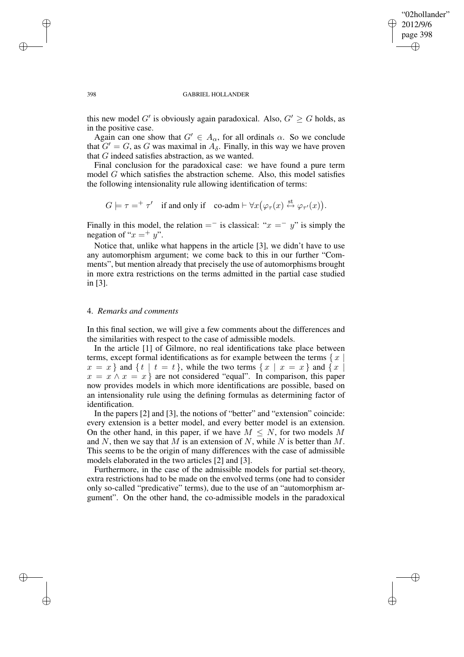### "02hollander" 2012/9/6 page 398 ✐ ✐

✐

✐

#### 398 GABRIEL HOLLANDER

this new model G' is obviously again paradoxical. Also,  $G' \geq G$  holds, as in the positive case.

Again can one show that  $G' \in A_{\alpha}$ , for all ordinals  $\alpha$ . So we conclude that  $G' = G$ , as G was maximal in  $A_{\delta}$ . Finally, in this way we have proven that G indeed satisfies abstraction, as we wanted.

Final conclusion for the paradoxical case: we have found a pure term model G which satisfies the abstraction scheme. Also, this model satisfies the following intensionality rule allowing identification of terms:

$$
G \models \tau =^+ \tau' \quad \text{if and only if} \quad \text{co-adm} \vdash \forall x (\varphi_\tau(x) \stackrel{\text{st}}{\leftrightarrow} \varphi_{\tau'}(x)).
$$

Finally in this model, the relation =  $\overline{\ }$  is classical: " $x = \overline{y}$ " is simply the negation of " $x =$ ", ".

Notice that, unlike what happens in the article [3], we didn't have to use any automorphism argument; we come back to this in our further "Comments", but mention already that precisely the use of automorphisms brought in more extra restrictions on the terms admitted in the partial case studied in [3].

## 4. *Remarks and comments*

In this final section, we will give a few comments about the differences and the similarities with respect to the case of admissible models.

In the article [1] of Gilmore, no real identifications take place between terms, except formal identifications as for example between the terms  $\{x \}$  $x = x$  and  $\{t \mid t = t\}$ , while the two terms  $\{x \mid x = x\}$  and  $\{x \mid t\}$  $x = x \wedge x = x$  are not considered "equal". In comparison, this paper now provides models in which more identifications are possible, based on an intensionality rule using the defining formulas as determining factor of identification.

In the papers [2] and [3], the notions of "better" and "extension" coincide: every extension is a better model, and every better model is an extension. On the other hand, in this paper, if we have  $M \leq N$ , for two models M and N, then we say that M is an extension of N, while N is better than  $M$ . This seems to be the origin of many differences with the case of admissible models elaborated in the two articles [2] and [3].

Furthermore, in the case of the admissible models for partial set-theory, extra restrictions had to be made on the envolved terms (one had to consider only so-called "predicative" terms), due to the use of an "automorphism argument". On the other hand, the co-admissible models in the paradoxical

✐

✐

✐